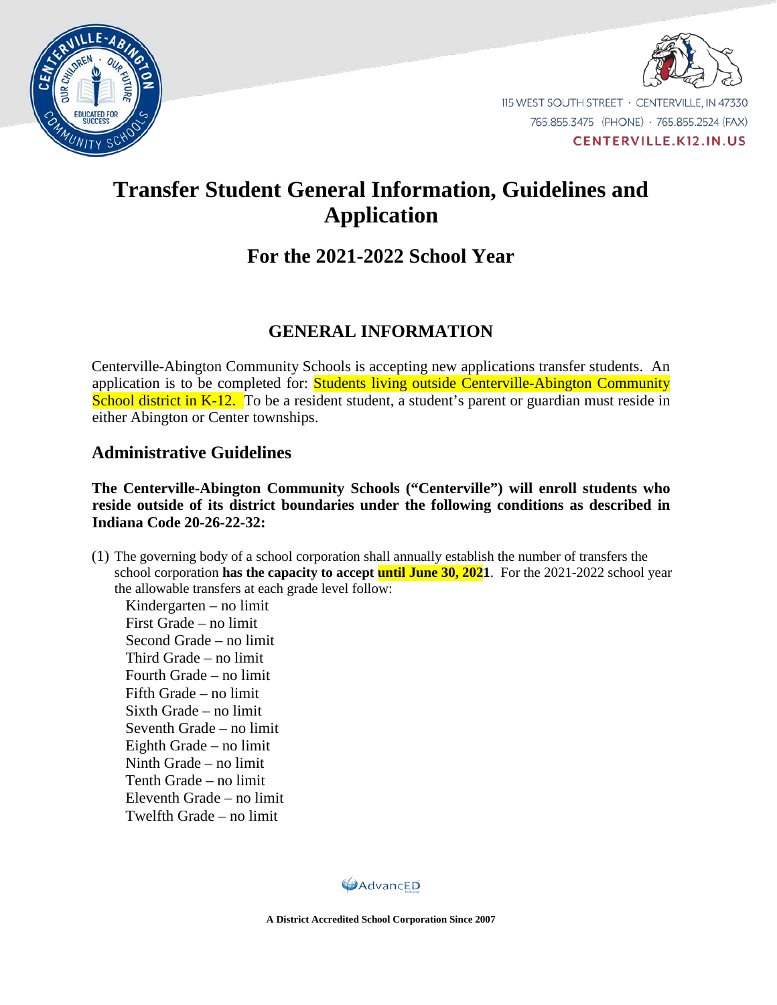



115 WEST SOUTH STREET · CENTERVILLE, IN 47330 765.855.3475 (PHONE) · 765.855.2524 (FAX) **CENTERVILLE.K12.IN.US** 

# **Transfer Student General Information, Guidelines and Application**

## **For the 2021-2022 School Year**

### **GENERAL INFORMATION**

Centerville-Abington Community Schools is accepting new applications transfer students. An application is to be completed for: **Students living outside Centerville-Abington Community** School district in K-12. To be a resident student, a student's parent or guardian must reside in either Abington or Center townships.

### **Administrative Guidelines**

#### **The Centerville-Abington Community Schools ("Centerville") will enroll students who reside outside of its district boundaries under the following conditions as described in Indiana Code 20-26-22-32:**

(1) The governing body of a school corporation shall annually establish the number of transfers the school corporation **has the capacity to accept until June 30, 2021**. For the 2021-2022 school year the allowable transfers at each grade level follow:

Kindergarten – no limit First Grade – no limit Second Grade – no limit Third Grade – no limit Fourth Grade – no limit Fifth Grade – no limit Sixth Grade – no limit Seventh Grade – no limit Eighth Grade – no limit Ninth Grade – no limit Tenth Grade – no limit Eleventh Grade – no limit Twelfth Grade – no limit

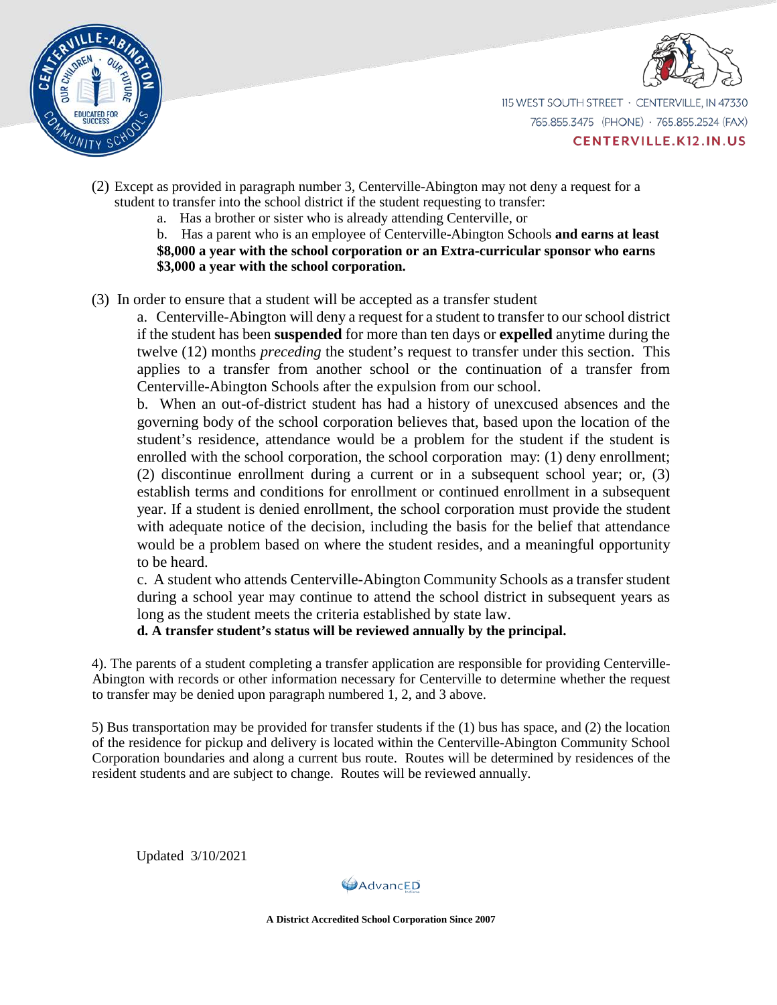



115 WEST SOUTH STREET · CENTERVILLE, IN 47330 765.855.3475 (PHONE) · 765.855.2524 (FAX)

**CENTERVILLE.K12.IN.US** 

- (2) Except as provided in paragraph number 3, Centerville-Abington may not deny a request for a student to transfer into the school district if the student requesting to transfer:
	- a. Has a brother or sister who is already attending Centerville, or
	- b. Has a parent who is an employee of Centerville-Abington Schools **and earns at least**

**\$8,000 a year with the school corporation or an Extra-curricular sponsor who earns \$3,000 a year with the school corporation.**

(3) In order to ensure that a student will be accepted as a transfer student

a. Centerville-Abington will deny a request for a student to transfer to our school district if the student has been **suspended** for more than ten days or **expelled** anytime during the twelve (12) months *preceding* the student's request to transfer under this section. This applies to a transfer from another school or the continuation of a transfer from Centerville-Abington Schools after the expulsion from our school.

b. When an out-of-district student has had a history of unexcused absences and the governing body of the school corporation believes that, based upon the location of the student's residence, attendance would be a problem for the student if the student is enrolled with the school corporation, the school corporation may: (1) deny enrollment; (2) discontinue enrollment during a current or in a subsequent school year; or, (3) establish terms and conditions for enrollment or continued enrollment in a subsequent year. If a student is denied enrollment, the school corporation must provide the student with adequate notice of the decision, including the basis for the belief that attendance would be a problem based on where the student resides, and a meaningful opportunity to be heard.

c. A student who attends Centerville-Abington Community Schools as a transfer student during a school year may continue to attend the school district in subsequent years as long as the student meets the criteria established by state law.

 **d. A transfer student's status will be reviewed annually by the principal.**

4). The parents of a student completing a transfer application are responsible for providing Centerville-Abington with records or other information necessary for Centerville to determine whether the request to transfer may be denied upon paragraph numbered 1, 2, and 3 above.

5) Bus transportation may be provided for transfer students if the (1) bus has space, and (2) the location of the residence for pickup and delivery is located within the Centerville-Abington Community School Corporation boundaries and along a current bus route. Routes will be determined by residences of the resident students and are subject to change. Routes will be reviewed annually.

Updated 3/10/2021